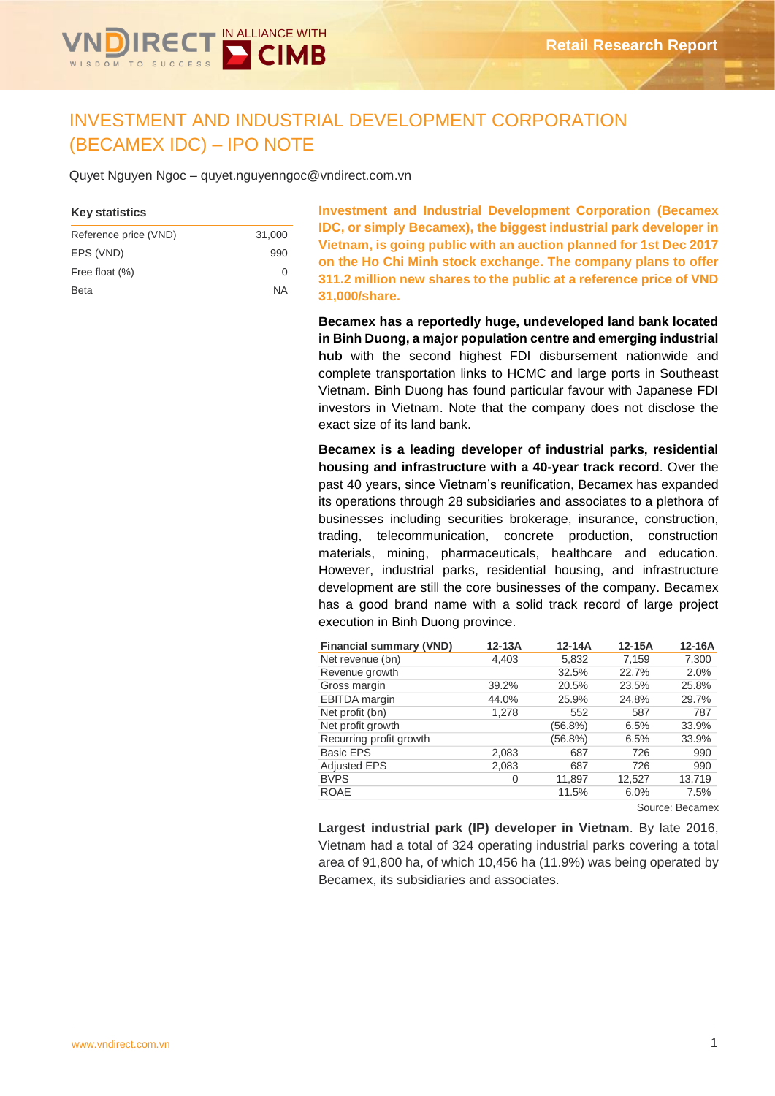

# INVESTMENT AND INDUSTRIAL DEVELOPMENT CORPORATION (BECAMEX IDC) – IPO NOTE

Quyet Nguyen Ngoc – quyet.nguyenngoc@vndirect.com.vn

### **Key statistics**

| Reference price (VND) | 31,000       |
|-----------------------|--------------|
| EPS (VND)             | 990          |
| Free float (%)        | <sup>0</sup> |
| <b>Beta</b>           | ΝA           |

**Investment and Industrial Development Corporation (Becamex IDC, or simply Becamex), the biggest industrial park developer in Vietnam, is going public with an auction planned for 1st Dec 2017 on the Ho Chi Minh stock exchange. The company plans to offer 311.2 million new shares to the public at a reference price of VND 31,000/share.**

**Becamex has a reportedly huge, undeveloped land bank located in Binh Duong, a major population centre and emerging industrial hub** with the second highest FDI disbursement nationwide and complete transportation links to HCMC and large ports in Southeast Vietnam. Binh Duong has found particular favour with Japanese FDI investors in Vietnam. Note that the company does not disclose the exact size of its land bank.

**Becamex is a leading developer of industrial parks, residential housing and infrastructure with a 40-year track record**. Over the past 40 years, since Vietnam's reunification, Becamex has expanded its operations through 28 subsidiaries and associates to a plethora of businesses including securities brokerage, insurance, construction, trading, telecommunication, concrete production, construction materials, mining, pharmaceuticals, healthcare and education. However, industrial parks, residential housing, and infrastructure development are still the core businesses of the company. Becamex has a good brand name with a solid track record of large project execution in Binh Duong province.

| <b>Financial summary (VND)</b> | $12-13A$ | 12-14A  | 12-15A | 12-16A |
|--------------------------------|----------|---------|--------|--------|
| Net revenue (bn)               | 4,403    | 5,832   | 7,159  | 7,300  |
| Revenue growth                 |          | 32.5%   | 22.7%  | 2.0%   |
| Gross margin                   | 39.2%    | 20.5%   | 23.5%  | 25.8%  |
| EBITDA margin                  | 44.0%    | 25.9%   | 24.8%  | 29.7%  |
| Net profit (bn)                | 1,278    | 552     | 587    | 787    |
| Net profit growth              |          | (56.8%) | 6.5%   | 33.9%  |
| Recurring profit growth        |          | (56.8%) | 6.5%   | 33.9%  |
| <b>Basic EPS</b>               | 2,083    | 687     | 726    | 990    |
| <b>Adjusted EPS</b>            | 2,083    | 687     | 726    | 990    |
| <b>BVPS</b>                    | 0        | 11,897  | 12,527 | 13,719 |
| <b>ROAE</b>                    |          | 11.5%   | 6.0%   | 7.5%   |
|                                |          |         |        |        |

Source: Becamex

**Largest industrial park (IP) developer in Vietnam**. By late 2016, Vietnam had a total of 324 operating industrial parks covering a total area of 91,800 ha, of which 10,456 ha (11.9%) was being operated by Becamex, its subsidiaries and associates.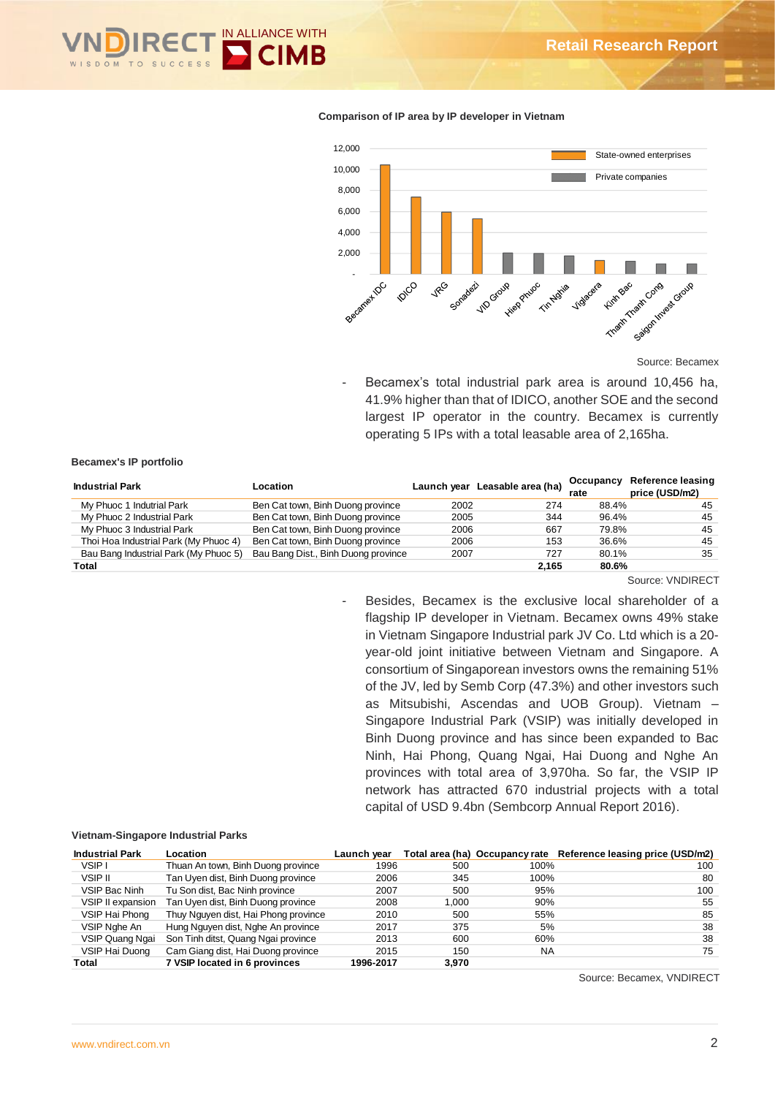

#### **Comparison of IP area by IP developer in Vietnam**



Source: Becamex

Becamex's total industrial park area is around 10,456 ha, 41.9% higher than that of IDICO, another SOE and the second largest IP operator in the country. Becamex is currently operating 5 IPs with a total leasable area of 2,165ha.

#### **Becamex's IP portfolio**

| <b>Industrial Park</b>                | Location                            |      | Launch year Leasable area (ha) | Occupancy<br>rate | Reference leasing<br>price (USD/m2) |
|---------------------------------------|-------------------------------------|------|--------------------------------|-------------------|-------------------------------------|
| My Phuoc 1 Indutrial Park             | Ben Cat town, Binh Duong province   | 2002 | 274                            | 88.4%             | 45                                  |
| My Phuoc 2 Industrial Park            | Ben Cat town, Binh Duong province   | 2005 | 344                            | 96.4%             | 45                                  |
| My Phuoc 3 Industrial Park            | Ben Cat town, Binh Duong province   | 2006 | 667                            | 79.8%             | 45                                  |
| Thoi Hoa Industrial Park (My Phuoc 4) | Ben Cat town, Binh Duong province   | 2006 | 153                            | 36.6%             | 45                                  |
| Bau Bang Industrial Park (My Phuoc 5) | Bau Bang Dist., Binh Duong province | 2007 | 727                            | 80.1%             | 35                                  |
| Total                                 |                                     |      | 2.165                          | 80.6%             |                                     |

Source: VNDIRECT

Besides, Becamex is the exclusive local shareholder of a flagship IP developer in Vietnam. Becamex owns 49% stake in Vietnam Singapore Industrial park JV Co. Ltd which is a 20 year-old joint initiative between Vietnam and Singapore. A consortium of Singaporean investors owns the remaining 51% of the JV, led by Semb Corp (47.3%) and other investors such as Mitsubishi, Ascendas and UOB Group). Vietnam – Singapore Industrial Park (VSIP) was initially developed in Binh Duong province and has since been expanded to Bac Ninh, Hai Phong, Quang Ngai, Hai Duong and Nghe An provinces with total area of 3,970ha. So far, the VSIP IP network has attracted 670 industrial projects with a total capital of USD 9.4bn (Sembcorp Annual Report 2016).

#### **Vietnam-Singapore Industrial Parks**

| <b>Industrial Park</b> | Location                             | Launch vear |       |           | Total area (ha) Occupancy rate Reference leasing price (USD/m2) |
|------------------------|--------------------------------------|-------------|-------|-----------|-----------------------------------------------------------------|
| VSIP I                 | Thuan An town, Binh Duong province   | 1996        | 500   | 100%      | 100                                                             |
| VSIP II                | Tan Uyen dist, Binh Duong province   | 2006        | 345   | 100%      | 80                                                              |
| VSIP Bac Ninh          | Tu Son dist, Bac Ninh province       | 2007        | 500   | 95%       | 100                                                             |
| VSIP II expansion      | Tan Uyen dist, Binh Duong province   | 2008        | 1.000 | 90%       | 55                                                              |
| VSIP Hai Phong         | Thuy Nguyen dist, Hai Phong province | 2010        | 500   | 55%       | 85                                                              |
| VSIP Nghe An           | Hung Nguyen dist, Nghe An province   | 2017        | 375   | 5%        | 38                                                              |
| VSIP Quang Ngai        | Son Tinh ditst, Quang Ngai province  | 2013        | 600   | 60%       | 38                                                              |
| VSIP Hai Duong         | Cam Giang dist, Hai Duong province   | 2015        | 150   | <b>NA</b> | 75                                                              |
| Total                  | 7 VSIP located in 6 provinces        | 1996-2017   | 3.970 |           |                                                                 |

Source: Becamex, VNDIRECT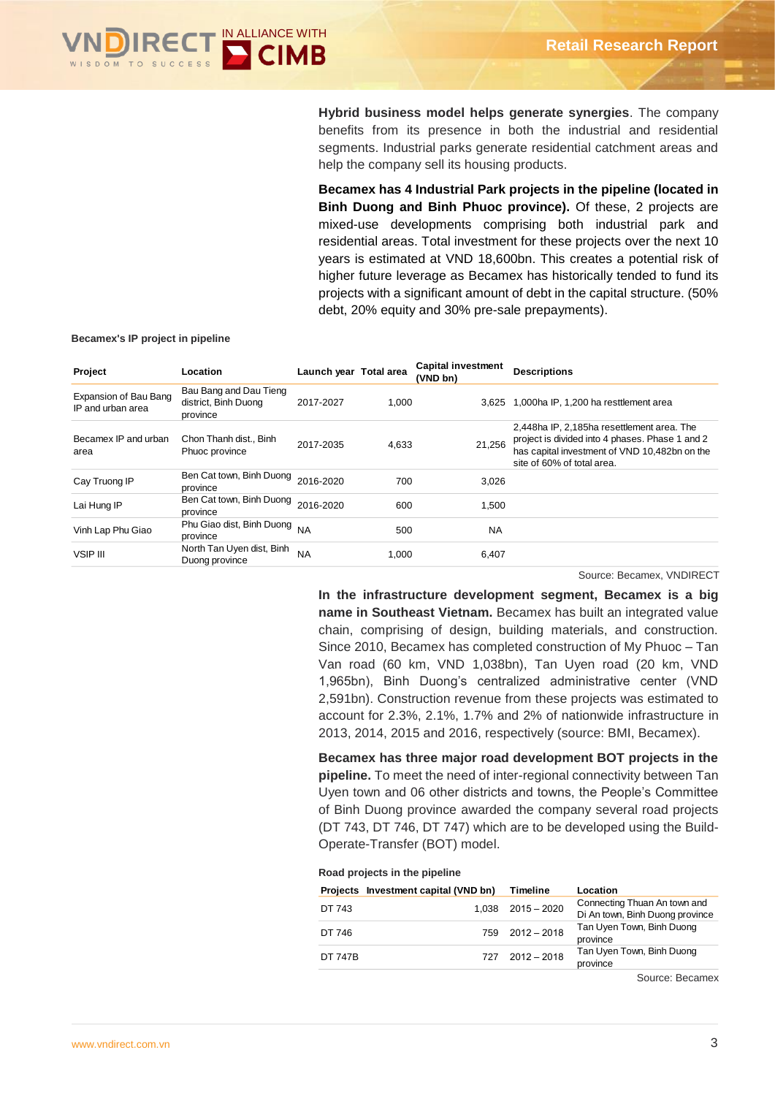

**Hybrid business model helps generate synergies**. The company benefits from its presence in both the industrial and residential segments. Industrial parks generate residential catchment areas and help the company sell its housing products.

**Becamex has 4 Industrial Park projects in the pipeline (located in Binh Duong and Binh Phuoc province).** Of these, 2 projects are mixed-use developments comprising both industrial park and residential areas. Total investment for these projects over the next 10 years is estimated at VND 18,600bn. This creates a potential risk of higher future leverage as Becamex has historically tended to fund its projects with a significant amount of debt in the capital structure. (50% debt, 20% equity and 30% pre-sale prepayments).

#### **Becamex's IP project in pipeline**

| Project                                    | Location                                                   | Launch year Total area |       | <b>Capital investment</b><br>(VND bn) | <b>Descriptions</b>                                                                                                                                                          |
|--------------------------------------------|------------------------------------------------------------|------------------------|-------|---------------------------------------|------------------------------------------------------------------------------------------------------------------------------------------------------------------------------|
| Expansion of Bau Bang<br>IP and urban area | Bau Bang and Dau Tieng<br>district, Binh Duong<br>province | 2017-2027              | 1.000 | 3.625                                 | 1,000ha IP, 1,200 ha resttlement area                                                                                                                                        |
| Becamex IP and urban<br>area               | Chon Thanh dist., Binh<br>Phuoc province                   | 2017-2035              | 4,633 | 21.256                                | 2,448ha IP, 2,185ha resettlement area. The<br>project is divided into 4 phases. Phase 1 and 2<br>has capital investment of VND 10,482bn on the<br>site of 60% of total area. |
| Cay Truong IP                              | Ben Cat town, Binh Duong<br>province                       | 2016-2020              | 700   | 3,026                                 |                                                                                                                                                                              |
| Lai Hung IP                                | Ben Cat town, Binh Duong 2016-2020<br>province             |                        | 600   | 1,500                                 |                                                                                                                                                                              |
| Vinh Lap Phu Giao                          | Phu Giao dist, Binh Duong NA<br>province                   |                        | 500   | NA                                    |                                                                                                                                                                              |
| <b>VSIP III</b>                            | North Tan Uyen dist, Binh<br>Duong province                | <b>NA</b>              | 1.000 | 6,407                                 |                                                                                                                                                                              |

Source: Becamex, VNDIRECT

**In the infrastructure development segment, Becamex is a big name in Southeast Vietnam.** Becamex has built an integrated value chain, comprising of design, building materials, and construction. Since 2010, Becamex has completed construction of My Phuoc – Tan Van road (60 km, VND 1,038bn), Tan Uyen road (20 km, VND 1,965bn), Binh Duong's centralized administrative center (VND 2,591bn). Construction revenue from these projects was estimated to account for 2.3%, 2.1%, 1.7% and 2% of nationwide infrastructure in 2013, 2014, 2015 and 2016, respectively (source: BMI, Becamex).

**Becamex has three major road development BOT projects in the pipeline.** To meet the need of inter-regional connectivity between Tan Uyen town and 06 other districts and towns, the People's Committee of Binh Duong province awarded the company several road projects (DT 743, DT 746, DT 747) which are to be developed using the Build-Operate-Transfer (BOT) model.

#### **Road projects in the pipeline**

|                | Projects Investment capital (VND bn) | Timeline              | Location                                                        |
|----------------|--------------------------------------|-----------------------|-----------------------------------------------------------------|
| DT 743         |                                      | $1.038$ $2015 - 2020$ | Connecting Thuan An town and<br>Di An town, Binh Duong province |
| DT 746         | 759                                  | 2012 - 2018           | Tan Uyen Town, Binh Duong<br>province                           |
| <b>DT 747B</b> | 727                                  | $2012 - 2018$         | Tan Uyen Town, Binh Duong<br>province                           |

Source: Becamex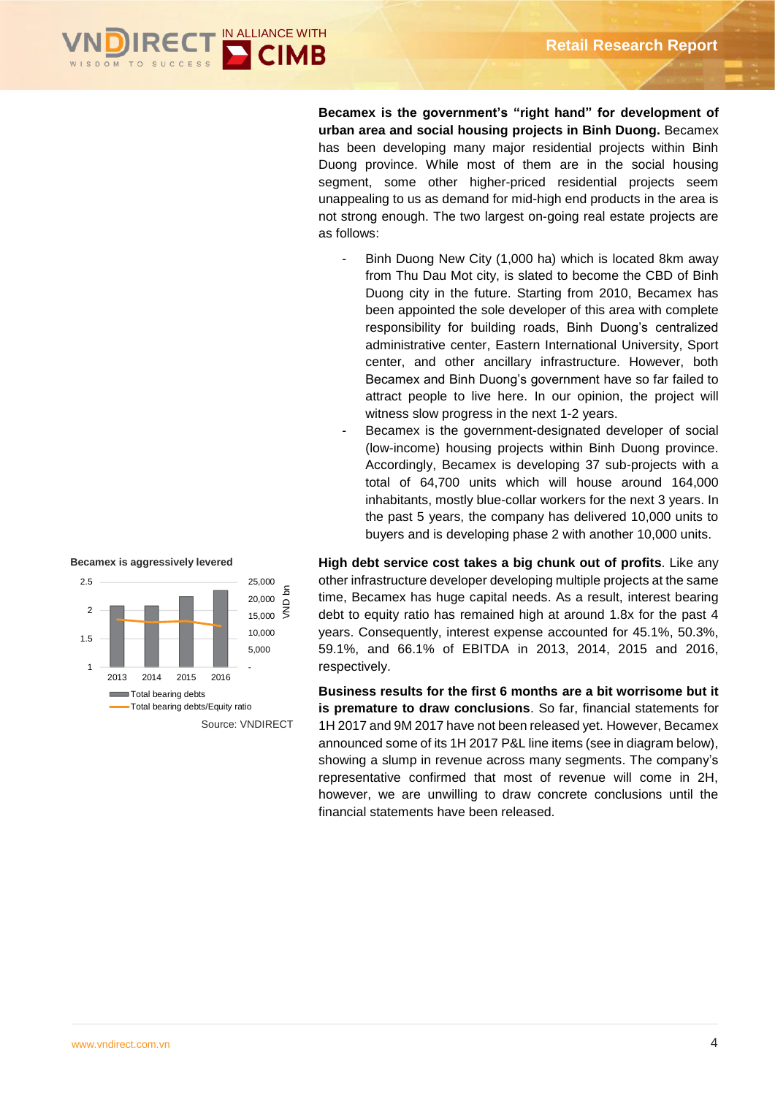

**Becamex is the government's "right hand" for development of urban area and social housing projects in Binh Duong.** Becamex has been developing many major residential projects within Binh Duong province. While most of them are in the social housing segment, some other higher-priced residential projects seem unappealing to us as demand for mid-high end products in the area is not strong enough. The two largest on-going real estate projects are as follows:

- Binh Duong New City (1,000 ha) which is located 8km away from Thu Dau Mot city, is slated to become the CBD of Binh Duong city in the future. Starting from 2010, Becamex has been appointed the sole developer of this area with complete responsibility for building roads, Binh Duong's centralized administrative center, Eastern International University, Sport center, and other ancillary infrastructure. However, both Becamex and Binh Duong's government have so far failed to attract people to live here. In our opinion, the project will witness slow progress in the next 1-2 years.
- Becamex is the government-designated developer of social (low-income) housing projects within Binh Duong province. Accordingly, Becamex is developing 37 sub-projects with a total of 64,700 units which will house around 164,000 inhabitants, mostly blue-collar workers for the next 3 years. In the past 5 years, the company has delivered 10,000 units to buyers and is developing phase 2 with another 10,000 units.

**High debt service cost takes a big chunk out of profits**. Like any other infrastructure developer developing multiple projects at the same time, Becamex has huge capital needs. As a result, interest bearing debt to equity ratio has remained high at around 1.8x for the past 4 years. Consequently, interest expense accounted for 45.1%, 50.3%, 59.1%, and 66.1% of EBITDA in 2013, 2014, 2015 and 2016, respectively. uy<del>c</del> u

**Business results for the first 6 months are a bit worrisome but it is premature to draw conclusions**. So far, financial statements for 1H 2017 and 9M 2017 have not been released yet. However, Becamex announced some of its 1H 2017 P&L line items (see in diagram below), showing a slump in revenue across many segments. The company's representative confirmed that most of revenue will come in 2H, however, we are unwilling to draw concrete conclusions until the financial statements have been released.

**Becamex is aggressively levered**

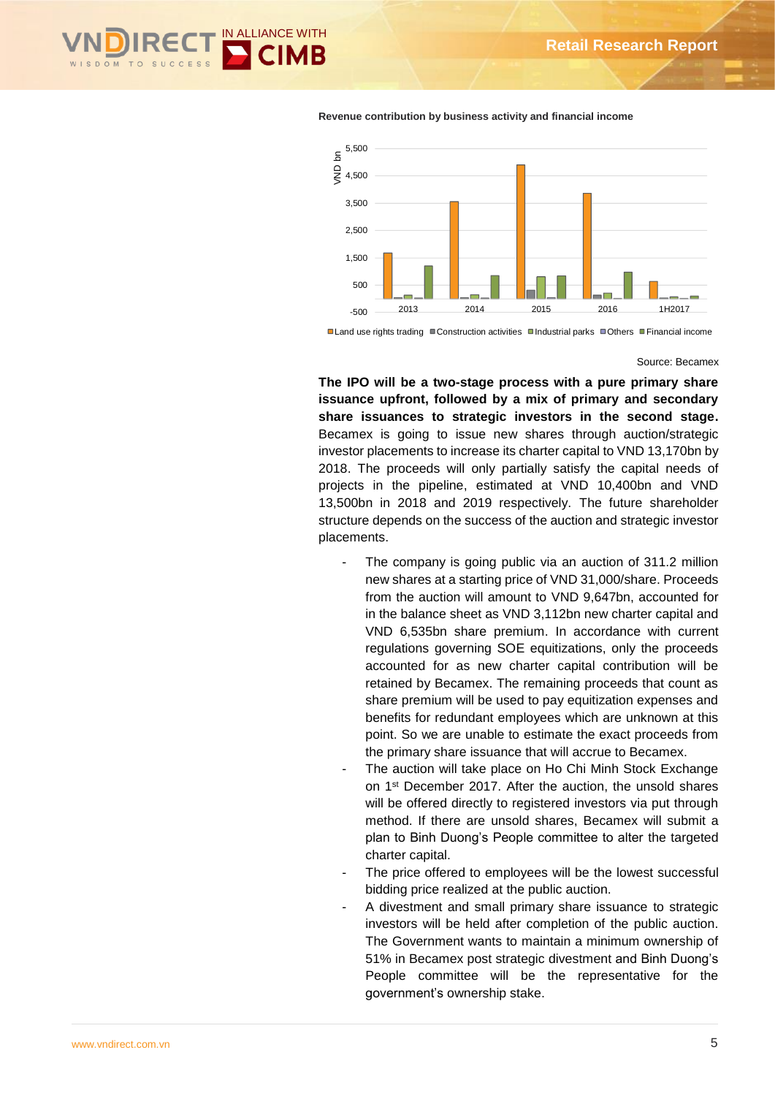



**Revenue contribution by business activity and financial income**

■Land use rights trading ■Construction activities ■Industrial parks ■Others ■Financial income

#### Source: Becamex

**The IPO will be a two-stage process with a pure primary share issuance upfront, followed by a mix of primary and secondary share issuances to strategic investors in the second stage.**  Becamex is going to issue new shares through auction/strategic investor placements to increase its charter capital to VND 13,170bn by 2018. The proceeds will only partially satisfy the capital needs of projects in the pipeline, estimated at VND 10,400bn and VND 13,500bn in 2018 and 2019 respectively. The future shareholder structure depends on the success of the auction and strategic investor placements.

- The company is going public via an auction of 311.2 million new shares at a starting price of VND 31,000/share. Proceeds from the auction will amount to VND 9,647bn, accounted for in the balance sheet as VND 3,112bn new charter capital and VND 6,535bn share premium. In accordance with current regulations governing SOE equitizations, only the proceeds accounted for as new charter capital contribution will be retained by Becamex. The remaining proceeds that count as share premium will be used to pay equitization expenses and benefits for redundant employees which are unknown at this point. So we are unable to estimate the exact proceeds from the primary share issuance that will accrue to Becamex.
- The auction will take place on Ho Chi Minh Stock Exchange on 1st December 2017. After the auction, the unsold shares will be offered directly to registered investors via put through method. If there are unsold shares, Becamex will submit a plan to Binh Duong's People committee to alter the targeted charter capital.
- The price offered to employees will be the lowest successful bidding price realized at the public auction.
- A divestment and small primary share issuance to strategic investors will be held after completion of the public auction. The Government wants to maintain a minimum ownership of 51% in Becamex post strategic divestment and Binh Duong's People committee will be the representative for the government's ownership stake.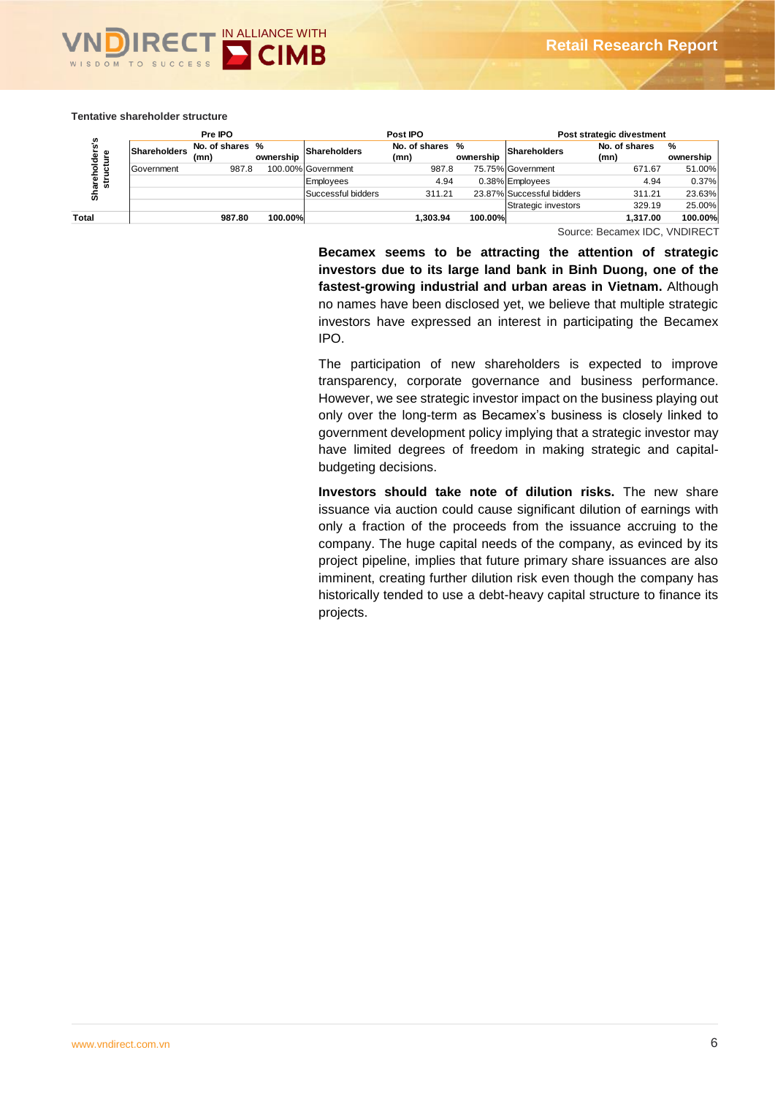

#### **Tentative shareholder structure**

|             |              | Pre IPO                 |           |                    | Post IPO                |           |                           | Post strategic divestment |                |
|-------------|--------------|-------------------------|-----------|--------------------|-------------------------|-----------|---------------------------|---------------------------|----------------|
| olders's    | Shareholders | No. of shares %<br>(mn) | ownership | Shareholders       | No. of shares %<br>(mn) | ownership | Shareholders              | No. of shares<br>(mn)     | %<br>ownership |
| cture       | Government   | 987.8                   |           | 100.00% Government | 987.8                   |           | 75.75% Government         | 671.67                    | 51.00%         |
| ᄒ<br>₽<br>s |              |                         |           | Employees          | 4.94                    |           | 0.38% Employees           | 4.94                      | 0.37%          |
| Shar        |              |                         |           | Successful bidders | 311.21                  |           | 23.87% Successful bidders | 311.21                    | 23.63%         |
|             |              |                         |           |                    |                         |           | Strategic investors       | 329.19                    | 25.00%         |
| Total       |              | 987.80                  | 100.00%   |                    | 1.303.94                | 100.00%   |                           | 1.317.00                  | 100.00%        |

Source: Becamex IDC, VNDIRECT

**Becamex seems to be attracting the attention of strategic investors due to its large land bank in Binh Duong, one of the fastest-growing industrial and urban areas in Vietnam.** Although no names have been disclosed yet, we believe that multiple strategic investors have expressed an interest in participating the Becamex IPO.

The participation of new shareholders is expected to improve transparency, corporate governance and business performance. However, we see strategic investor impact on the business playing out only over the long-term as Becamex's business is closely linked to government development policy implying that a strategic investor may have limited degrees of freedom in making strategic and capitalbudgeting decisions.

**Investors should take note of dilution risks.** The new share issuance via auction could cause significant dilution of earnings with only a fraction of the proceeds from the issuance accruing to the company. The huge capital needs of the company, as evinced by its project pipeline, implies that future primary share issuances are also imminent, creating further dilution risk even though the company has historically tended to use a debt-heavy capital structure to finance its projects.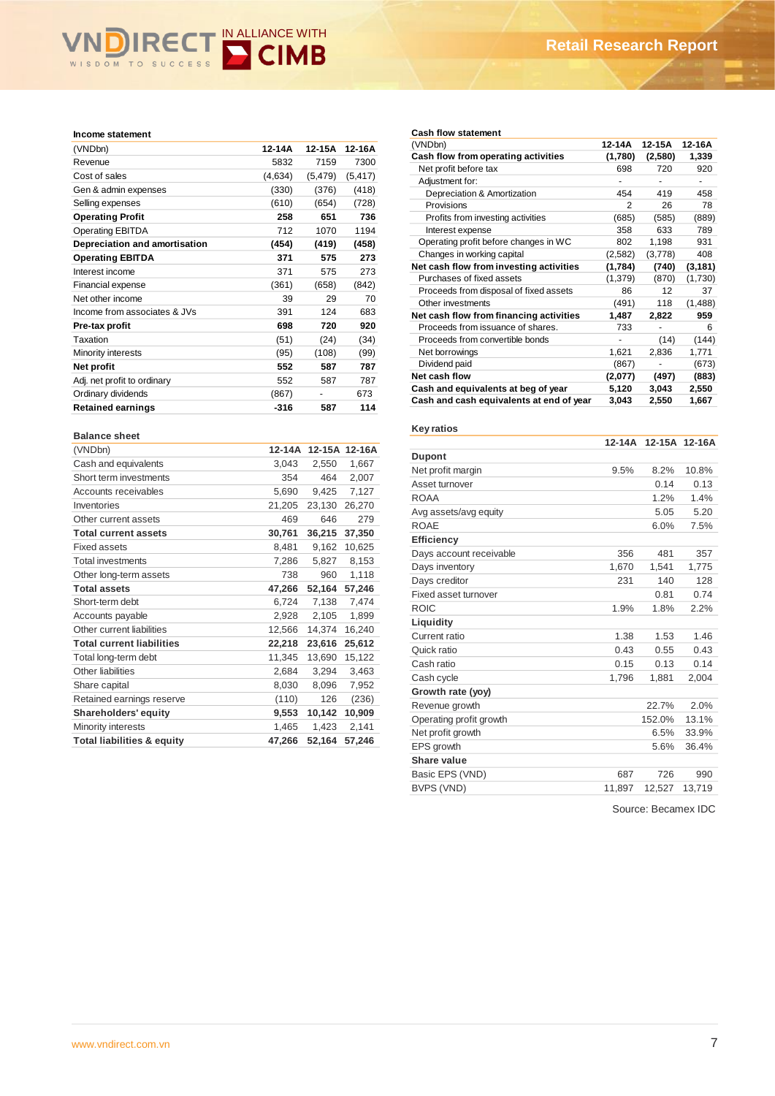# WISDOM TO SUCCESS CIMB

| (VNDbn)                       | 12-14A  | 12-15A   | 12-16A   |
|-------------------------------|---------|----------|----------|
| Revenue                       | 5832    | 7159     | 7300     |
| Cost of sales                 | (4,634) | (5, 479) | (5, 417) |
| Gen & admin expenses          | (330)   | (376)    | (418)    |
| Selling expenses              | (610)   | (654)    | (728)    |
| <b>Operating Profit</b>       | 258     | 651      | 736      |
| <b>Operating EBITDA</b>       | 712     | 1070     | 1194     |
| Depreciation and amortisation | (454)   | (419)    | (458)    |
| <b>Operating EBITDA</b>       | 371     | 575      | 273      |
| Interest income               | 371     | 575      | 273      |
| Financial expense             | (361)   | (658)    | (842)    |
| Net other income              | 39      | 29       | 70       |
| Income from associates & JVs  | 391     | 124      | 683      |
| Pre-tax profit                | 698     | 720      | 920      |
| Taxation                      | (51)    | (24)     | (34)     |
| Minority interests            | (95)    | (108)    | (99)     |
| Net profit                    | 552     | 587      | 787      |
| Adj. net profit to ordinary   | 552     | 587      | 787      |
| Ordinary dividends            | (867)   |          | 673      |
| <b>Retained earnings</b>      | -316    | 587      | 114      |

| <b>Balance sheet</b>                  |        |        |               |
|---------------------------------------|--------|--------|---------------|
| (VNDbn)                               | 12-14A |        | 12-15A 12-16A |
| Cash and equivalents                  | 3,043  | 2,550  | 1,667         |
| Short term investments                | 354    | 464    | 2,007         |
| Accounts receivables                  | 5,690  | 9,425  | 7,127         |
| Inventories                           | 21,205 | 23,130 | 26,270        |
| Other current assets                  | 469    | 646    | 279           |
| <b>Total current assets</b>           | 30,761 | 36,215 | 37,350        |
| <b>Fixed assets</b>                   | 8,481  | 9,162  | 10,625        |
| <b>Total investments</b>              | 7,286  | 5,827  | 8,153         |
| Other long-term assets                | 738    | 960    | 1,118         |
| <b>Total assets</b>                   | 47,266 | 52,164 | 57,246        |
| Short-term debt                       | 6,724  | 7,138  | 7,474         |
| Accounts payable                      | 2,928  | 2,105  | 1,899         |
| Other current liabilities             | 12,566 | 14,374 | 16,240        |
| <b>Total current liabilities</b>      | 22,218 | 23,616 | 25,612        |
| Total long-term debt                  | 11,345 | 13,690 | 15,122        |
| Other liabilities                     | 2,684  | 3,294  | 3,463         |
| Share capital                         | 8,030  | 8,096  | 7,952         |
| Retained earnings reserve             | (110)  | 126    | (236)         |
| Shareholders' equity                  | 9,553  | 10,142 | 10,909        |
| Minority interests                    | 1,465  | 1,423  | 2,141         |
| <b>Total liabilities &amp; equity</b> | 47,266 | 52,164 | 57,246        |

#### **Cash flow statement**

| (VNDbn)                                  | 12-14A  | 12-15A  | 12-16A   |
|------------------------------------------|---------|---------|----------|
| Cash flow from operating activities      | (1,780) | (2,580) | 1,339    |
| Net profit before tax                    | 698     | 720     | 920      |
| Adjustment for:                          |         |         |          |
| Depreciation & Amortization              | 454     | 419     | 458      |
| Provisions                               | 2       | 26      | 78       |
| Profits from investing activities        | (685)   | (585)   | (889)    |
| Interest expense                         | 358     | 633     | 789      |
| Operating profit before changes in WC    | 802     | 1,198   | 931      |
| Changes in working capital               | (2,582) | (3,778) | 408      |
| Net cash flow from investing activities  | (1,784) | (740)   | (3, 181) |
| Purchases of fixed assets                | (1,379) | (870)   | (1,730)  |
| Proceeds from disposal of fixed assets   | 86      | 12      | 37       |
| Other investments                        | (491)   | 118     | (1,488)  |
| Net cash flow from financing activities  | 1,487   | 2,822   | 959      |
| Proceeds from issuance of shares.        | 733     |         | 6        |
| Proceeds from convertible bonds          |         | (14)    | (144)    |
| Net borrowings                           | 1,621   | 2,836   | 1,771    |
| Dividend paid                            | (867)   |         | (673)    |
| Net cash flow                            | (2,077) | (497)   | (883)    |
| Cash and equivalents at beg of year      | 5,120   | 3,043   | 2,550    |
| Cash and cash equivalents at end of year | 3,043   | 2,550   | 1,667    |

| Key ratios              |          |        |               |
|-------------------------|----------|--------|---------------|
|                         | $12-14A$ |        | 12-15A 12-16A |
| <b>Dupont</b>           |          |        |               |
| Net profit margin       | 9.5%     | 8.2%   | 10.8%         |
| Asset turnover          |          | 0.14   | 0.13          |
| <b>ROAA</b>             |          | 1.2%   | 1.4%          |
| Avg assets/avg equity   |          | 5.05   | 5.20          |
| <b>ROAE</b>             |          | 6.0%   | 7.5%          |
| <b>Efficiency</b>       |          |        |               |
| Days account receivable | 356      | 481    | 357           |
| Days inventory          | 1,670    | 1,541  | 1,775         |
| Days creditor           | 231      | 140    | 128           |
| Fixed asset turnover    |          | 0.81   | 0.74          |
| <b>ROIC</b>             | 1.9%     | 1.8%   | 2.2%          |
| Liquidity               |          |        |               |
| Current ratio           | 1.38     | 1.53   | 1.46          |
| Quick ratio             | 0.43     | 0.55   | 0.43          |
| Cash ratio              | 0.15     | 0.13   | 0.14          |
| Cash cycle              | 1,796    | 1,881  | 2,004         |
| Growth rate (yoy)       |          |        |               |
| Revenue growth          |          | 22.7%  | 2.0%          |
| Operating profit growth |          | 152.0% | 13.1%         |
| Net profit growth       |          | 6.5%   | 33.9%         |
| EPS growth              |          | 5.6%   | 36.4%         |
| Share value             |          |        |               |
| Basic EPS (VND)         | 687      | 726    | 990           |
| <b>BVPS (VND)</b>       | 11.897   | 12.527 | 13.719        |

Source: Becamex IDC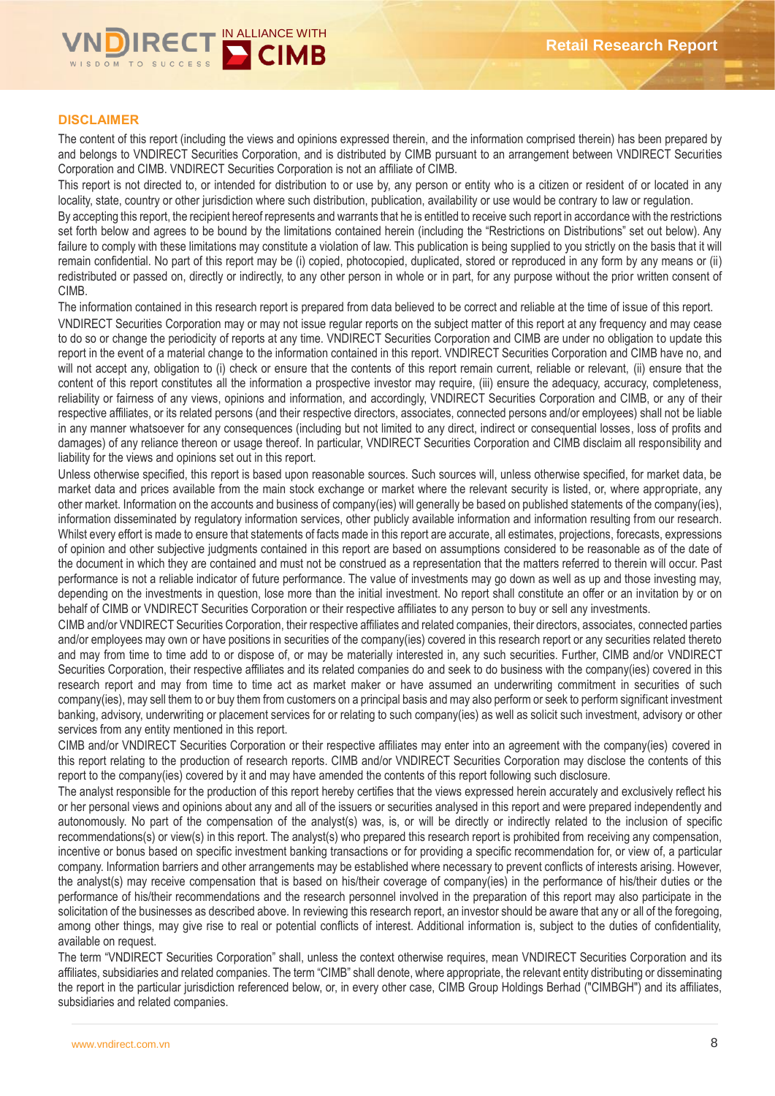

# **DISCLAIMER**

The content of this report (including the views and opinions expressed therein, and the information comprised therein) has been prepared by and belongs to VNDIRECT Securities Corporation, and is distributed by CIMB pursuant to an arrangement between VNDIRECT Securities Corporation and CIMB. VNDIRECT Securities Corporation is not an affiliate of CIMB.

This report is not directed to, or intended for distribution to or use by, any person or entity who is a citizen or resident of or located in any locality, state, country or other jurisdiction where such distribution, publication, availability or use would be contrary to law or regulation.

By accepting this report, the recipient hereof represents and warrants that he is entitled to receive such report in accordance with the restrictions set forth below and agrees to be bound by the limitations contained herein (including the "Restrictions on Distributions" set out below). Any failure to comply with these limitations may constitute a violation of law. This publication is being supplied to you strictly on the basis that it will remain confidential. No part of this report may be (i) copied, photocopied, duplicated, stored or reproduced in any form by any means or (ii) redistributed or passed on, directly or indirectly, to any other person in whole or in part, for any purpose without the prior written consent of CIMB.

The information contained in this research report is prepared from data believed to be correct and reliable at the time of issue of this report. VNDIRECT Securities Corporation may or may not issue regular reports on the subject matter of this report at any frequency and may cease to do so or change the periodicity of reports at any time. VNDIRECT Securities Corporation and CIMB are under no obligation to update this report in the event of a material change to the information contained in this report. VNDIRECT Securities Corporation and CIMB have no, and will not accept any, obligation to (i) check or ensure that the contents of this report remain current, reliable or relevant, (ii) ensure that the content of this report constitutes all the information a prospective investor may require, (iii) ensure the adequacy, accuracy, completeness, reliability or fairness of any views, opinions and information, and accordingly, VNDIRECT Securities Corporation and CIMB, or any of their respective affiliates, or its related persons (and their respective directors, associates, connected persons and/or employees) shall not be liable in any manner whatsoever for any consequences (including but not limited to any direct, indirect or consequential losses, loss of profits and damages) of any reliance thereon or usage thereof. In particular, VNDIRECT Securities Corporation and CIMB disclaim all responsibility and liability for the views and opinions set out in this report.

Unless otherwise specified, this report is based upon reasonable sources. Such sources will, unless otherwise specified, for market data, be market data and prices available from the main stock exchange or market where the relevant security is listed, or, where appropriate, any other market. Information on the accounts and business of company(ies) will generally be based on published statements of the company(ies), information disseminated by regulatory information services, other publicly available information and information resulting from our research. Whilst every effort is made to ensure that statements of facts made in this report are accurate, all estimates, projections, forecasts, expressions of opinion and other subjective judgments contained in this report are based on assumptions considered to be reasonable as of the date of the document in which they are contained and must not be construed as a representation that the matters referred to therein will occur. Past performance is not a reliable indicator of future performance. The value of investments may go down as well as up and those investing may, depending on the investments in question, lose more than the initial investment. No report shall constitute an offer or an invitation by or on behalf of CIMB or VNDIRECT Securities Corporation or their respective affiliates to any person to buy or sell any investments.

CIMB and/or VNDIRECT Securities Corporation, their respective affiliates and related companies, their directors, associates, connected parties and/or employees may own or have positions in securities of the company(ies) covered in this research report or any securities related thereto and may from time to time add to or dispose of, or may be materially interested in, any such securities. Further, CIMB and/or VNDIRECT Securities Corporation, their respective affiliates and its related companies do and seek to do business with the company(ies) covered in this research report and may from time to time act as market maker or have assumed an underwriting commitment in securities of such company(ies), may sell them to or buy them from customers on a principal basis and may also perform or seek to perform significant investment banking, advisory, underwriting or placement services for or relating to such company(ies) as well as solicit such investment, advisory or other services from any entity mentioned in this report.

CIMB and/or VNDIRECT Securities Corporation or their respective affiliates may enter into an agreement with the company(ies) covered in this report relating to the production of research reports. CIMB and/or VNDIRECT Securities Corporation may disclose the contents of this report to the company(ies) covered by it and may have amended the contents of this report following such disclosure.

The analyst responsible for the production of this report hereby certifies that the views expressed herein accurately and exclusively reflect his or her personal views and opinions about any and all of the issuers or securities analysed in this report and were prepared independently and autonomously. No part of the compensation of the analyst(s) was, is, or will be directly or indirectly related to the inclusion of specific recommendations(s) or view(s) in this report. The analyst(s) who prepared this research report is prohibited from receiving any compensation, incentive or bonus based on specific investment banking transactions or for providing a specific recommendation for, or view of, a particular company. Information barriers and other arrangements may be established where necessary to prevent conflicts of interests arising. However, the analyst(s) may receive compensation that is based on his/their coverage of company(ies) in the performance of his/their duties or the performance of his/their recommendations and the research personnel involved in the preparation of this report may also participate in the solicitation of the businesses as described above. In reviewing this research report, an investor should be aware that any or all of the foregoing, among other things, may give rise to real or potential conflicts of interest. Additional information is, subject to the duties of confidentiality, available on request.

The term "VNDIRECT Securities Corporation" shall, unless the context otherwise requires, mean VNDIRECT Securities Corporation and its affiliates, subsidiaries and related companies. The term "CIMB" shall denote, where appropriate, the relevant entity distributing or disseminating the report in the particular jurisdiction referenced below, or, in every other case, CIMB Group Holdings Berhad ("CIMBGH") and its affiliates, subsidiaries and related companies.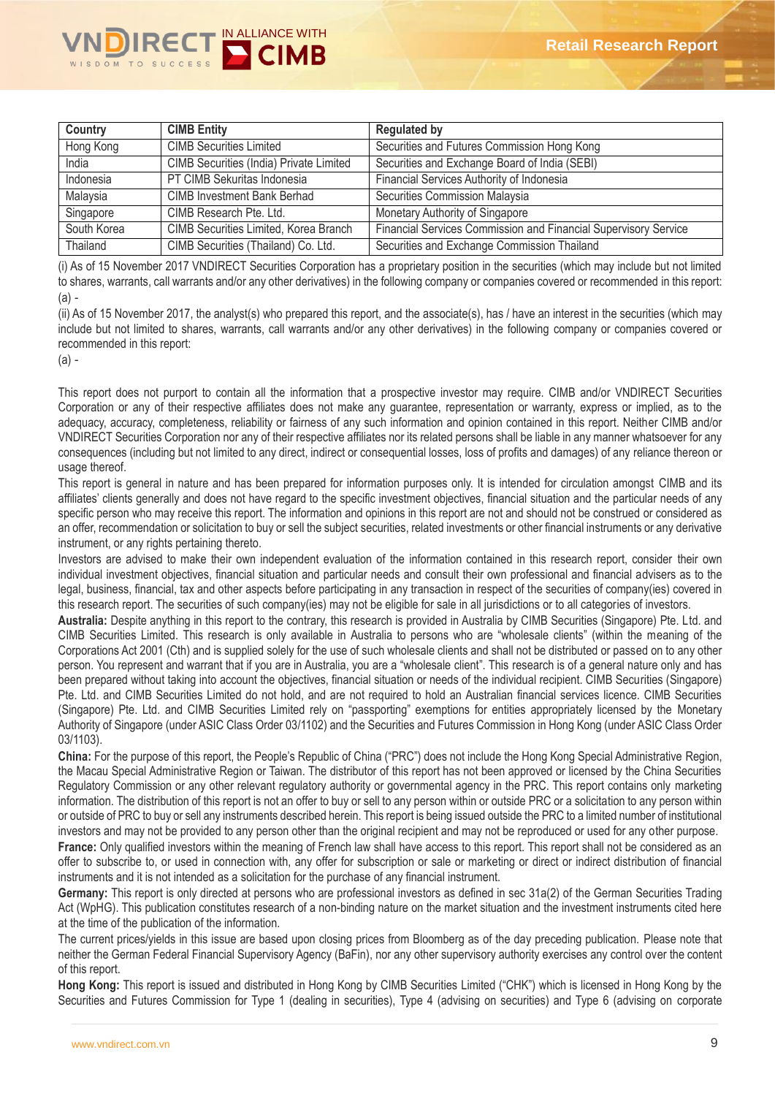

| Country     | <b>CIMB Entity</b>                      | <b>Regulated by</b>                                             |
|-------------|-----------------------------------------|-----------------------------------------------------------------|
| Hong Kong   | <b>CIMB Securities Limited</b>          | Securities and Futures Commission Hong Kong                     |
| India       | CIMB Securities (India) Private Limited | Securities and Exchange Board of India (SEBI)                   |
| Indonesia   | PT CIMB Sekuritas Indonesia             | Financial Services Authority of Indonesia                       |
| Malaysia    | <b>CIMB Investment Bank Berhad</b>      | Securities Commission Malaysia                                  |
| Singapore   | CIMB Research Pte. Ltd.                 | Monetary Authority of Singapore                                 |
| South Korea | CIMB Securities Limited, Korea Branch   | Financial Services Commission and Financial Supervisory Service |
| Thailand    | CIMB Securities (Thailand) Co. Ltd.     | Securities and Exchange Commission Thailand                     |

(i) As of 15 November 2017 VNDIRECT Securities Corporation has a proprietary position in the securities (which may include but not limited to shares, warrants, call warrants and/or any other derivatives) in the following company or companies covered or recommended in this report: (a) -

(ii) As of 15 November 2017, the analyst(s) who prepared this report, and the associate(s), has / have an interest in the securities (which may include but not limited to shares, warrants, call warrants and/or any other derivatives) in the following company or companies covered or recommended in this report:

(a) -

This report does not purport to contain all the information that a prospective investor may require. CIMB and/or VNDIRECT Securities Corporation or any of their respective affiliates does not make any guarantee, representation or warranty, express or implied, as to the adequacy, accuracy, completeness, reliability or fairness of any such information and opinion contained in this report. Neither CIMB and/or VNDIRECT Securities Corporation nor any of their respective affiliates nor its related persons shall be liable in any manner whatsoever for any consequences (including but not limited to any direct, indirect or consequential losses, loss of profits and damages) of any reliance thereon or usage thereof.

This report is general in nature and has been prepared for information purposes only. It is intended for circulation amongst CIMB and its affiliates' clients generally and does not have regard to the specific investment objectives, financial situation and the particular needs of any specific person who may receive this report. The information and opinions in this report are not and should not be construed or considered as an offer, recommendation or solicitation to buy or sell the subject securities, related investments or other financial instruments or any derivative instrument, or any rights pertaining thereto.

Investors are advised to make their own independent evaluation of the information contained in this research report, consider their own individual investment objectives, financial situation and particular needs and consult their own professional and financial advisers as to the legal, business, financial, tax and other aspects before participating in any transaction in respect of the securities of company(ies) covered in this research report. The securities of such company(ies) may not be eligible for sale in all jurisdictions or to all categories of investors.

**Australia:** Despite anything in this report to the contrary, this research is provided in Australia by CIMB Securities (Singapore) Pte. Ltd. and CIMB Securities Limited. This research is only available in Australia to persons who are "wholesale clients" (within the meaning of the Corporations Act 2001 (Cth) and is supplied solely for the use of such wholesale clients and shall not be distributed or passed on to any other person. You represent and warrant that if you are in Australia, you are a "wholesale client". This research is of a general nature only and has been prepared without taking into account the objectives, financial situation or needs of the individual recipient. CIMB Securities (Singapore) Pte. Ltd. and CIMB Securities Limited do not hold, and are not required to hold an Australian financial services licence. CIMB Securities (Singapore) Pte. Ltd. and CIMB Securities Limited rely on "passporting" exemptions for entities appropriately licensed by the Monetary Authority of Singapore (under ASIC Class Order 03/1102) and the Securities and Futures Commission in Hong Kong (under ASIC Class Order 03/1103).

**China:** For the purpose of this report, the People's Republic of China ("PRC") does not include the Hong Kong Special Administrative Region, the Macau Special Administrative Region or Taiwan. The distributor of this report has not been approved or licensed by the China Securities Regulatory Commission or any other relevant regulatory authority or governmental agency in the PRC. This report contains only marketing information. The distribution of this report is not an offer to buy or sell to any person within or outside PRC or a solicitation to any person within or outside of PRC to buy or sell any instruments described herein. This report is being issued outside the PRC to a limited number of institutional investors and may not be provided to any person other than the original recipient and may not be reproduced or used for any other purpose.

France: Only qualified investors within the meaning of French law shall have access to this report. This report shall not be considered as an offer to subscribe to, or used in connection with, any offer for subscription or sale or marketing or direct or indirect distribution of financial instruments and it is not intended as a solicitation for the purchase of any financial instrument.

**Germany:** This report is only directed at persons who are professional investors as defined in sec 31a(2) of the German Securities Trading Act (WpHG). This publication constitutes research of a non-binding nature on the market situation and the investment instruments cited here at the time of the publication of the information.

The current prices/yields in this issue are based upon closing prices from Bloomberg as of the day preceding publication. Please note that neither the German Federal Financial Supervisory Agency (BaFin), nor any other supervisory authority exercises any control over the content of this report.

**Hong Kong:** This report is issued and distributed in Hong Kong by CIMB Securities Limited ("CHK") which is licensed in Hong Kong by the Securities and Futures Commission for Type 1 (dealing in securities), Type 4 (advising on securities) and Type 6 (advising on corporate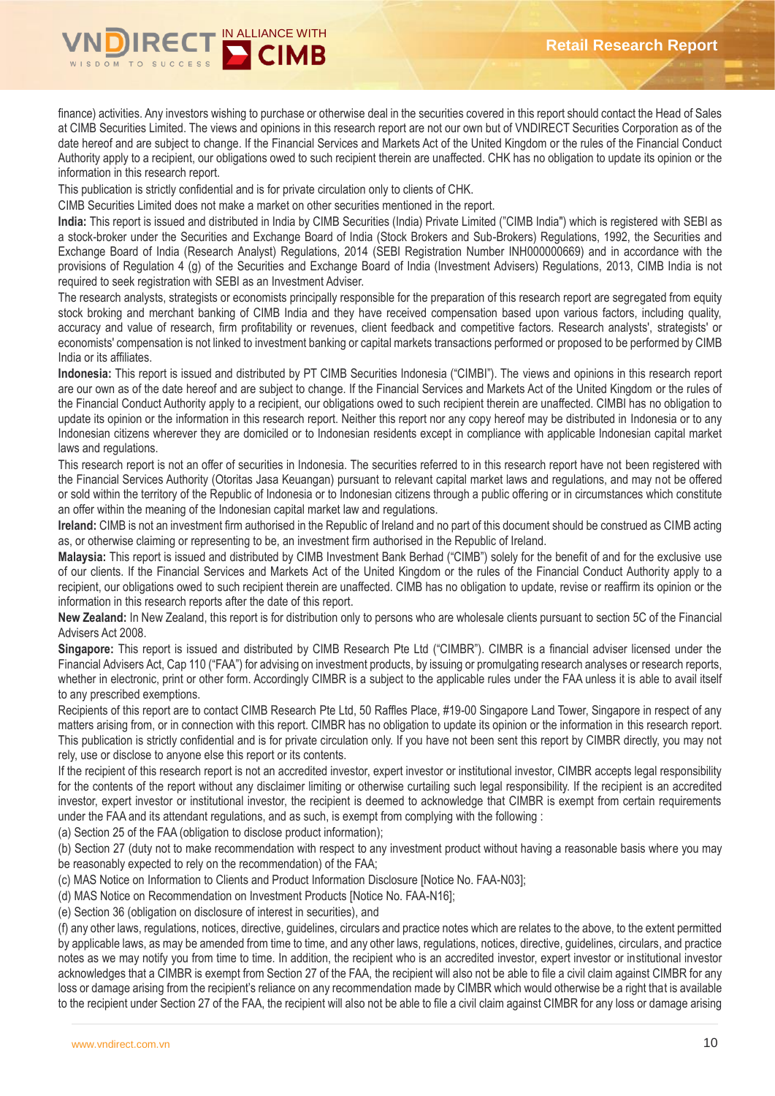

finance) activities. Any investors wishing to purchase or otherwise deal in the securities covered in this report should contact the Head of Sales at CIMB Securities Limited. The views and opinions in this research report are not our own but of VNDIRECT Securities Corporation as of the date hereof and are subject to change. If the Financial Services and Markets Act of the United Kingdom or the rules of the Financial Conduct Authority apply to a recipient, our obligations owed to such recipient therein are unaffected. CHK has no obligation to update its opinion or the information in this research report.

This publication is strictly confidential and is for private circulation only to clients of CHK.

CIMB Securities Limited does not make a market on other securities mentioned in the report.

**India:** This report is issued and distributed in India by CIMB Securities (India) Private Limited ("CIMB India") which is registered with SEBI as a stock-broker under the Securities and Exchange Board of India (Stock Brokers and Sub-Brokers) Regulations, 1992, the Securities and Exchange Board of India (Research Analyst) Regulations, 2014 (SEBI Registration Number INH000000669) and in accordance with the provisions of Regulation 4 (g) of the Securities and Exchange Board of India (Investment Advisers) Regulations, 2013, CIMB India is not required to seek registration with SEBI as an Investment Adviser.

The research analysts, strategists or economists principally responsible for the preparation of this research report are segregated from equity stock broking and merchant banking of CIMB India and they have received compensation based upon various factors, including quality, accuracy and value of research, firm profitability or revenues, client feedback and competitive factors. Research analysts', strategists' or economists' compensation is not linked to investment banking or capital markets transactions performed or proposed to be performed by CIMB India or its affiliates.

**Indonesia:** This report is issued and distributed by PT CIMB Securities Indonesia ("CIMBI"). The views and opinions in this research report are our own as of the date hereof and are subject to change. If the Financial Services and Markets Act of the United Kingdom or the rules of the Financial Conduct Authority apply to a recipient, our obligations owed to such recipient therein are unaffected. CIMBI has no obligation to update its opinion or the information in this research report. Neither this report nor any copy hereof may be distributed in Indonesia or to any Indonesian citizens wherever they are domiciled or to Indonesian residents except in compliance with applicable Indonesian capital market laws and regulations.

This research report is not an offer of securities in Indonesia. The securities referred to in this research report have not been registered with the Financial Services Authority (Otoritas Jasa Keuangan) pursuant to relevant capital market laws and regulations, and may not be offered or sold within the territory of the Republic of Indonesia or to Indonesian citizens through a public offering or in circumstances which constitute an offer within the meaning of the Indonesian capital market law and regulations.

**Ireland:** CIMB is not an investment firm authorised in the Republic of Ireland and no part of this document should be construed as CIMB acting as, or otherwise claiming or representing to be, an investment firm authorised in the Republic of Ireland.

**Malaysia:** This report is issued and distributed by CIMB Investment Bank Berhad ("CIMB") solely for the benefit of and for the exclusive use of our clients. If the Financial Services and Markets Act of the United Kingdom or the rules of the Financial Conduct Authority apply to a recipient, our obligations owed to such recipient therein are unaffected. CIMB has no obligation to update, revise or reaffirm its opinion or the information in this research reports after the date of this report.

**New Zealand:** In New Zealand, this report is for distribution only to persons who are wholesale clients pursuant to section 5C of the Financial Advisers Act 2008.

**Singapore:** This report is issued and distributed by CIMB Research Pte Ltd ("CIMBR"). CIMBR is a financial adviser licensed under the Financial Advisers Act, Cap 110 ("FAA") for advising on investment products, by issuing or promulgating research analyses or research reports, whether in electronic, print or other form. Accordingly CIMBR is a subject to the applicable rules under the FAA unless it is able to avail itself to any prescribed exemptions.

Recipients of this report are to contact CIMB Research Pte Ltd, 50 Raffles Place, #19-00 Singapore Land Tower, Singapore in respect of any matters arising from, or in connection with this report. CIMBR has no obligation to update its opinion or the information in this research report. This publication is strictly confidential and is for private circulation only. If you have not been sent this report by CIMBR directly, you may not rely, use or disclose to anyone else this report or its contents.

If the recipient of this research report is not an accredited investor, expert investor or institutional investor, CIMBR accepts legal responsibility for the contents of the report without any disclaimer limiting or otherwise curtailing such legal responsibility. If the recipient is an accredited investor, expert investor or institutional investor, the recipient is deemed to acknowledge that CIMBR is exempt from certain requirements under the FAA and its attendant regulations, and as such, is exempt from complying with the following :

(a) Section 25 of the FAA (obligation to disclose product information);

(b) Section 27 (duty not to make recommendation with respect to any investment product without having a reasonable basis where you may be reasonably expected to rely on the recommendation) of the FAA;

(c) MAS Notice on Information to Clients and Product Information Disclosure [Notice No. FAA-N03];

(d) MAS Notice on Recommendation on Investment Products [Notice No. FAA-N16];

(e) Section 36 (obligation on disclosure of interest in securities), and

(f) any other laws, regulations, notices, directive, guidelines, circulars and practice notes which are relates to the above, to the extent permitted by applicable laws, as may be amended from time to time, and any other laws, regulations, notices, directive, guidelines, circulars, and practice notes as we may notify you from time to time. In addition, the recipient who is an accredited investor, expert investor or institutional investor acknowledges that a CIMBR is exempt from Section 27 of the FAA, the recipient will also not be able to file a civil claim against CIMBR for any loss or damage arising from the recipient's reliance on any recommendation made by CIMBR which would otherwise be a right that is available to the recipient under Section 27 of the FAA, the recipient will also not be able to file a civil claim against CIMBR for any loss or damage arising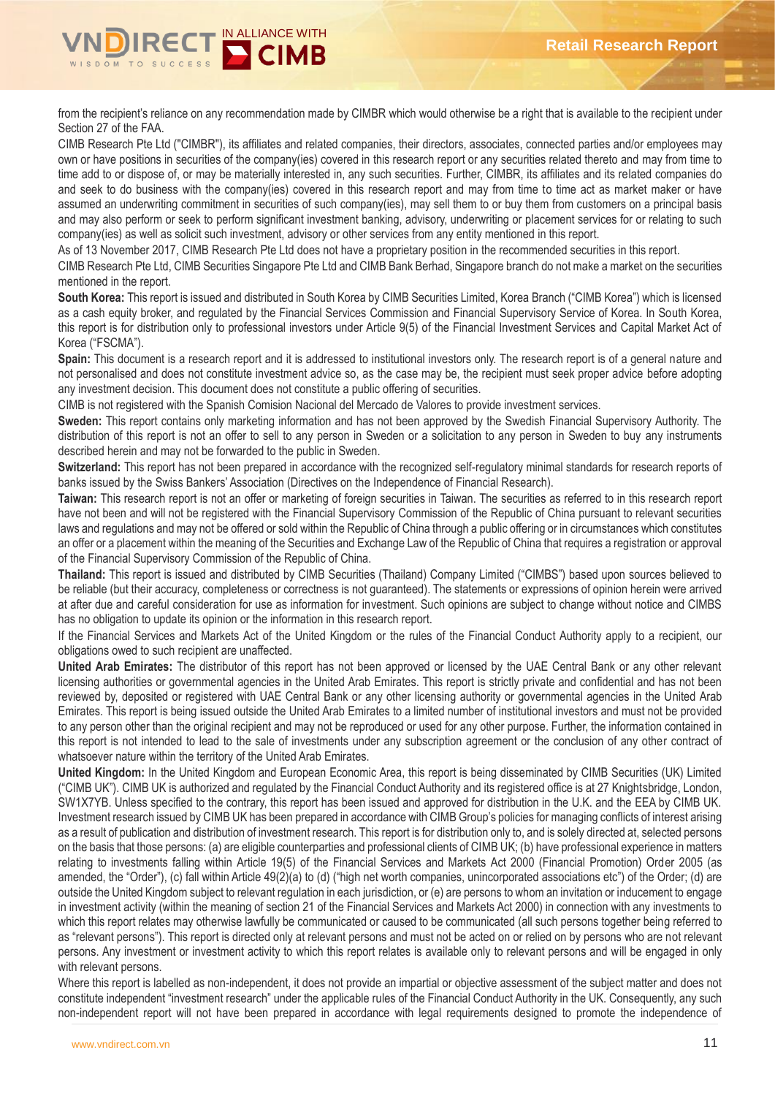

from the recipient's reliance on any recommendation made by CIMBR which would otherwise be a right that is available to the recipient under Section 27 of the FAA.

CIMB Research Pte Ltd ("CIMBR"), its affiliates and related companies, their directors, associates, connected parties and/or employees may own or have positions in securities of the company(ies) covered in this research report or any securities related thereto and may from time to time add to or dispose of, or may be materially interested in, any such securities. Further, CIMBR, its affiliates and its related companies do and seek to do business with the company(ies) covered in this research report and may from time to time act as market maker or have assumed an underwriting commitment in securities of such company(ies), may sell them to or buy them from customers on a principal basis and may also perform or seek to perform significant investment banking, advisory, underwriting or placement services for or relating to such company(ies) as well as solicit such investment, advisory or other services from any entity mentioned in this report.

As of 13 November 2017, CIMB Research Pte Ltd does not have a proprietary position in the recommended securities in this report.

CIMB Research Pte Ltd, CIMB Securities Singapore Pte Ltd and CIMB Bank Berhad, Singapore branch do not make a market on the securities mentioned in the report.

**South Korea:** This report is issued and distributed in South Korea by CIMB Securities Limited, Korea Branch ("CIMB Korea") which is licensed as a cash equity broker, and regulated by the Financial Services Commission and Financial Supervisory Service of Korea. In South Korea, this report is for distribution only to professional investors under Article 9(5) of the Financial Investment Services and Capital Market Act of Korea ("FSCMA").

**Spain:** This document is a research report and it is addressed to institutional investors only. The research report is of a general nature and not personalised and does not constitute investment advice so, as the case may be, the recipient must seek proper advice before adopting any investment decision. This document does not constitute a public offering of securities.

CIMB is not registered with the Spanish Comision Nacional del Mercado de Valores to provide investment services.

**Sweden:** This report contains only marketing information and has not been approved by the Swedish Financial Supervisory Authority. The distribution of this report is not an offer to sell to any person in Sweden or a solicitation to any person in Sweden to buy any instruments described herein and may not be forwarded to the public in Sweden.

**Switzerland:** This report has not been prepared in accordance with the recognized self-regulatory minimal standards for research reports of banks issued by the Swiss Bankers' Association (Directives on the Independence of Financial Research).

**Taiwan:** This research report is not an offer or marketing of foreign securities in Taiwan. The securities as referred to in this research report have not been and will not be registered with the Financial Supervisory Commission of the Republic of China pursuant to relevant securities laws and regulations and may not be offered or sold within the Republic of China through a public offering or in circumstances which constitutes an offer or a placement within the meaning of the Securities and Exchange Law of the Republic of China that requires a registration or approval of the Financial Supervisory Commission of the Republic of China.

**Thailand:** This report is issued and distributed by CIMB Securities (Thailand) Company Limited ("CIMBS") based upon sources believed to be reliable (but their accuracy, completeness or correctness is not guaranteed). The statements or expressions of opinion herein were arrived at after due and careful consideration for use as information for investment. Such opinions are subject to change without notice and CIMBS has no obligation to update its opinion or the information in this research report.

If the Financial Services and Markets Act of the United Kingdom or the rules of the Financial Conduct Authority apply to a recipient, our obligations owed to such recipient are unaffected.

**United Arab Emirates:** The distributor of this report has not been approved or licensed by the UAE Central Bank or any other relevant licensing authorities or governmental agencies in the United Arab Emirates. This report is strictly private and confidential and has not been reviewed by, deposited or registered with UAE Central Bank or any other licensing authority or governmental agencies in the United Arab Emirates. This report is being issued outside the United Arab Emirates to a limited number of institutional investors and must not be provided to any person other than the original recipient and may not be reproduced or used for any other purpose. Further, the information contained in this report is not intended to lead to the sale of investments under any subscription agreement or the conclusion of any other contract of whatsoever nature within the territory of the United Arab Emirates.

**United Kingdom:** In the United Kingdom and European Economic Area, this report is being disseminated by CIMB Securities (UK) Limited ("CIMB UK"). CIMB UK is authorized and regulated by the Financial Conduct Authority and its registered office is at 27 Knightsbridge, London, SW1X7YB. Unless specified to the contrary, this report has been issued and approved for distribution in the U.K. and the EEA by CIMB UK. Investment research issued by CIMB UK has been prepared in accordance with CIMB Group's policies for managing conflicts of interest arising as a result of publication and distribution of investment research. This report is for distribution only to, and is solely directed at, selected persons on the basis that those persons: (a) are eligible counterparties and professional clients of CIMB UK; (b) have professional experience in matters relating to investments falling within Article 19(5) of the Financial Services and Markets Act 2000 (Financial Promotion) Order 2005 (as amended, the "Order"), (c) fall within Article 49(2)(a) to (d) ("high net worth companies, unincorporated associations etc") of the Order; (d) are outside the United Kingdom subject to relevant regulation in each jurisdiction, or (e) are persons to whom an invitation or inducement to engage in investment activity (within the meaning of section 21 of the Financial Services and Markets Act 2000) in connection with any investments to which this report relates may otherwise lawfully be communicated or caused to be communicated (all such persons together being referred to as "relevant persons"). This report is directed only at relevant persons and must not be acted on or relied on by persons who are not relevant persons. Any investment or investment activity to which this report relates is available only to relevant persons and will be engaged in only with relevant persons.

Where this report is labelled as non-independent, it does not provide an impartial or objective assessment of the subject matter and does not constitute independent "investment research" under the applicable rules of the Financial Conduct Authority in the UK. Consequently, any such non-independent report will not have been prepared in accordance with legal requirements designed to promote the independence of